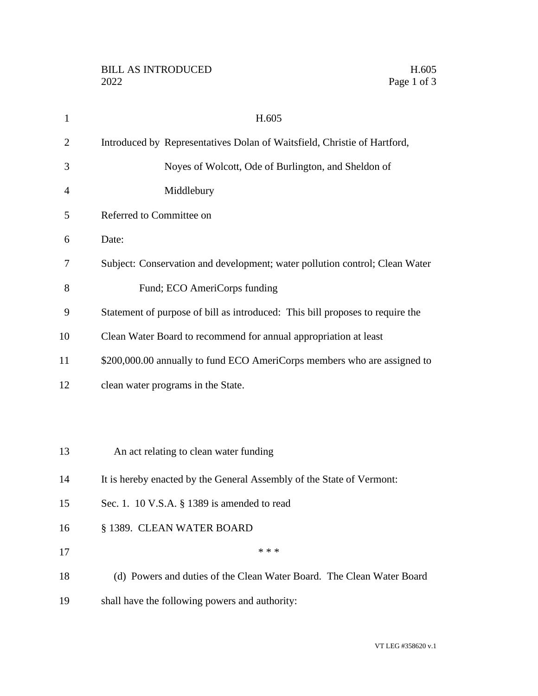|             | H.605 |
|-------------|-------|
| Page 1 of 3 |       |

| $\mathbf{1}$   | H.605                                                                         |
|----------------|-------------------------------------------------------------------------------|
| $\overline{2}$ | Introduced by Representatives Dolan of Waitsfield, Christie of Hartford,      |
| 3              | Noyes of Wolcott, Ode of Burlington, and Sheldon of                           |
| 4              | Middlebury                                                                    |
| 5              | Referred to Committee on                                                      |
| 6              | Date:                                                                         |
| 7              | Subject: Conservation and development; water pollution control; Clean Water   |
| 8              | Fund; ECO AmeriCorps funding                                                  |
| 9              | Statement of purpose of bill as introduced: This bill proposes to require the |
| 10             | Clean Water Board to recommend for annual appropriation at least              |
| 11             | \$200,000.00 annually to fund ECO AmeriCorps members who are assigned to      |
| 12             | clean water programs in the State.                                            |
|                |                                                                               |
|                |                                                                               |
| 13             | An act relating to clean water funding                                        |
| 14             | It is hereby enacted by the General Assembly of the State of Vermont:         |
| 15             | Sec. 1. 10 V.S.A. § 1389 is amended to read                                   |
| 16             | § 1389. CLEAN WATER BOARD                                                     |
| 17             | * * *                                                                         |
| 18             | (d) Powers and duties of the Clean Water Board. The Clean Water Board         |
| 19             | shall have the following powers and authority:                                |
|                |                                                                               |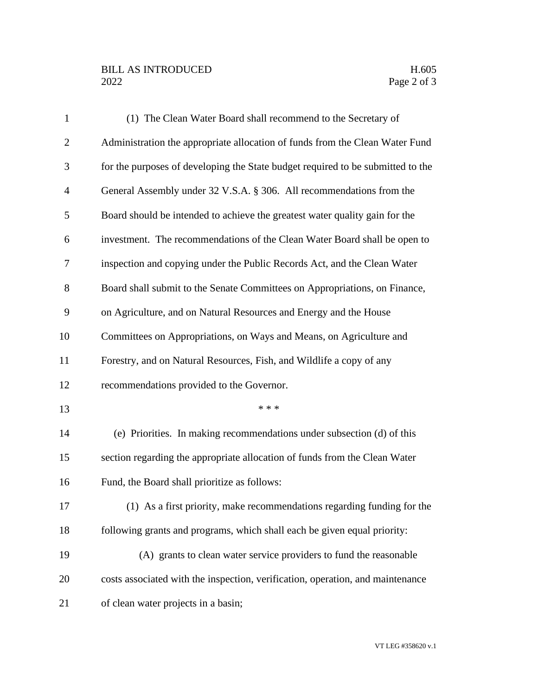## BILL AS INTRODUCED H.605<br>2022 Page 2 of 3

| $\mathbf{1}$   | (1) The Clean Water Board shall recommend to the Secretary of                   |
|----------------|---------------------------------------------------------------------------------|
| $\overline{2}$ | Administration the appropriate allocation of funds from the Clean Water Fund    |
| 3              | for the purposes of developing the State budget required to be submitted to the |
| $\overline{4}$ | General Assembly under 32 V.S.A. § 306. All recommendations from the            |
| 5              | Board should be intended to achieve the greatest water quality gain for the     |
| 6              | investment. The recommendations of the Clean Water Board shall be open to       |
| 7              | inspection and copying under the Public Records Act, and the Clean Water        |
| 8              | Board shall submit to the Senate Committees on Appropriations, on Finance,      |
| 9              | on Agriculture, and on Natural Resources and Energy and the House               |
| 10             | Committees on Appropriations, on Ways and Means, on Agriculture and             |
| 11             | Forestry, and on Natural Resources, Fish, and Wildlife a copy of any            |
| 12             | recommendations provided to the Governor.                                       |
| 13             | * * *                                                                           |
| 14             | (e) Priorities. In making recommendations under subsection (d) of this          |
| 15             | section regarding the appropriate allocation of funds from the Clean Water      |
| 16             | Fund, the Board shall prioritize as follows:                                    |
| 17             | (1) As a first priority, make recommendations regarding funding for the         |
| 18             | following grants and programs, which shall each be given equal priority:        |
| 19             | (A) grants to clean water service providers to fund the reasonable              |
| 20             | costs associated with the inspection, verification, operation, and maintenance  |
| 21             | of clean water projects in a basin;                                             |